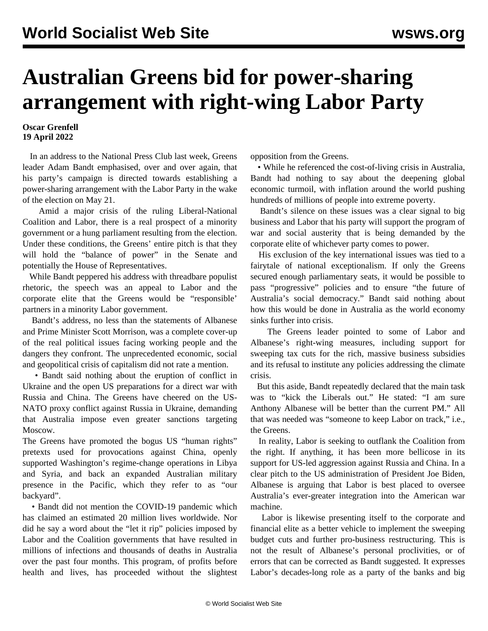## **Australian Greens bid for power-sharing arrangement with right-wing Labor Party**

## **Oscar Grenfell 19 April 2022**

 In an address to the National Press Club last week, Greens leader Adam Bandt emphasised, over and over again, that his party's campaign is directed towards establishing a power-sharing arrangement with the Labor Party in the wake of the election on May 21.

 Amid a major crisis of the ruling Liberal-National Coalition and Labor, there is a real prospect of a minority government or a hung parliament resulting from the election. Under these conditions, the Greens' entire pitch is that they will hold the "balance of power" in the Senate and potentially the House of Representatives.

 While Bandt peppered his address with threadbare populist rhetoric, the speech was an appeal to Labor and the corporate elite that the Greens would be "responsible' partners in a minority Labor government.

 Bandt's address, no less than the statements of Albanese and Prime Minister Scott Morrison, was a complete cover-up of the real political issues facing working people and the dangers they confront. The unprecedented economic, social and geopolitical crisis of capitalism did not rate a mention.

 • Bandt said nothing about the eruption of conflict in Ukraine and the open US preparations for a direct war with Russia and China. The Greens have cheered on the US-NATO proxy conflict against Russia in Ukraine, demanding that Australia impose even greater sanctions targeting Moscow.

The Greens have promoted the bogus US "human rights" pretexts used for provocations against China, openly supported Washington's regime-change operations in Libya and Syria, and back an expanded Australian military presence in the Pacific, which they refer to as "our backyard".

 • Bandt did not mention the COVID-19 pandemic which has claimed an estimated 20 million lives worldwide. Nor did he say a word about the "let it rip" policies imposed by Labor and the Coalition governments that have resulted in millions of infections and thousands of deaths in Australia over the past four months. This program, of profits before health and lives, has proceeded without the slightest

opposition from the Greens.

 • While he referenced the cost-of-living crisis in Australia, Bandt had nothing to say about the deepening global economic turmoil, with inflation around the world pushing hundreds of millions of people into extreme poverty.

 Bandt's silence on these issues was a clear signal to big business and Labor that his party will support the program of war and social austerity that is being demanded by the corporate elite of whichever party comes to power.

 His exclusion of the key international issues was tied to a fairytale of national exceptionalism. If only the Greens secured enough parliamentary seats, it would be possible to pass "progressive" policies and to ensure "the future of Australia's social democracy." Bandt said nothing about how this would be done in Australia as the world economy sinks further into crisis.

 The Greens leader pointed to some of Labor and Albanese's right-wing measures, including support for sweeping tax cuts for the rich, massive business subsidies and its refusal to institute any policies addressing the climate crisis.

 But this aside, Bandt repeatedly declared that the main task was to "kick the Liberals out." He stated: "I am sure Anthony Albanese will be better than the current PM." All that was needed was "someone to keep Labor on track," i.e., the Greens.

 In reality, Labor is seeking to outflank the Coalition from the right. If anything, it has been more bellicose in its support for US-led aggression against Russia and China. In a clear pitch to the US administration of President Joe Biden, Albanese is arguing that Labor is best placed to oversee Australia's ever-greater integration into the American war machine.

 Labor is likewise presenting itself to the corporate and financial elite as a better vehicle to implement the sweeping budget cuts and further pro-business restructuring. This is not the result of Albanese's personal proclivities, or of errors that can be corrected as Bandt suggested. It expresses Labor's decades-long role as a party of the banks and big